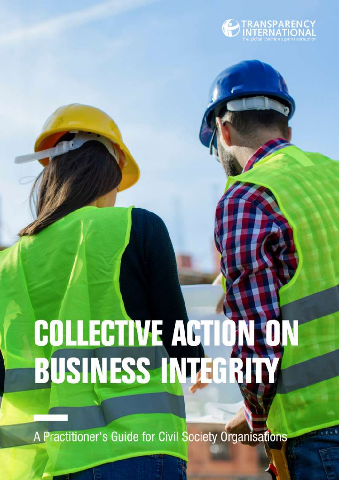

# **COLLECTIVE ACTION<br>BUSINESS INTEGRI**

A Practitioner's Guide for Civil Society Organisations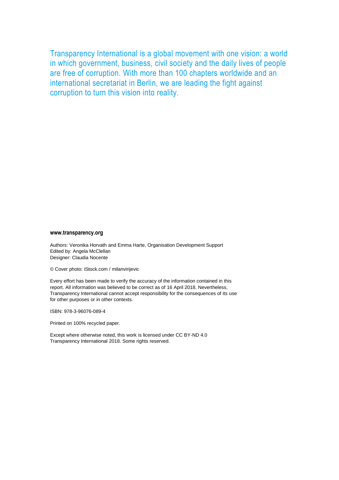Transparency International is a global movement with one vision: a world in which government, business, civil society and the daily lives of people are free of corruption. With more than 100 chapters worldwide and an international secretariat in Berlin, we are leading the fight against corruption to turn this vision into reality.

#### **www.transparency.org**

Authors: Veronika Horvath and Emma Harte, Organisation Development Support Edited by: Angela McClellan Designer: Claudia Nocente

© Cover photo: iStock.com / milanvirijevic

Every effort has been made to verify the accuracy of the information contained in this report. All information was believed to be correct as of 16 April 2018. Nevertheless, Transparency International cannot accept responsibility for the consequences of its use for other purposes or in other contexts.

ISBN: 978-3-96076-089-4

Printed on 100% recycled paper.

Except where otherwise noted, this work is licensed under CC BY-ND 4.0 Transparency International 2018. Some rights reserved.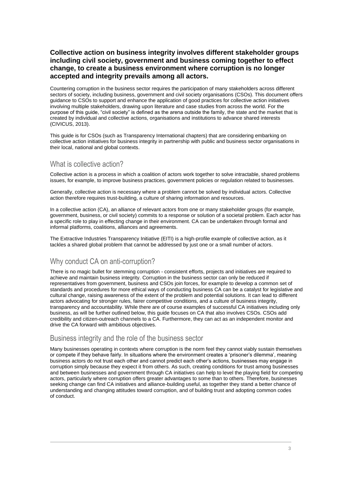### **Collective action on business integrity involves different stakeholder groups including civil society, government and business coming together to effect change, to create a business environment where corruption is no longer accepted and integrity prevails among all actors.**

Countering corruption in the business sector requires the participation of many stakeholders across different sectors of society, including business, government and civil society organisations (CSOs). This document offers guidance to CSOs to support and enhance the application of good practices for collective action initiatives involving multiple stakeholders, drawing upon literature and case studies from across the world. For the purpose of this guide, "civil society" is defined as the arena outside the family, the state and the market that is created by individual and collective actions, organisations and institutions to advance shared interests (CIVICUS, 2013).

This guide is for CSOs (such as Transparency International chapters) that are considering embarking on collective action initiatives for business integrity in partnership with public and business sector organisations in their local, national and global contexts.

# What is collective action?

Collective action is a process in which a coalition of actors work together to solve intractable, shared problems issues, for example, to improve business practices, government policies or regulation related to businesses.

Generally, collective action is necessary where a problem cannot be solved by individual actors. Collective action therefore requires trust-building, a culture of sharing information and resources.

In a collective action (CA), an alliance of relevant actors from one or many stakeholder groups (for example, government, business, or civil society) commits to a response or solution of a societal problem. Each actor has a specific role to play in effecting change in their environment. CA can be undertaken through formal and informal platforms, coalitions, alliances and agreements.

The Extractive Industries Transparency Initiative (EITI) is a high-profile example of collective action, as it tackles a shared global problem that cannot be addressed by just one or a small number of actors.

# Why conduct CA on anti-corruption?

There is no magic bullet for stemming corruption - consistent efforts, projects and initiatives are required to achieve and maintain business integrity. Corruption in the business sector can only be reduced if representatives from government, business and CSOs join forces, for example to develop a common set of standards and procedures for more ethical ways of conducting business CA can be a catalyst for legislative and cultural change, raising awareness of the extent of the problem and potential solutions. It can lead to different actors advocating for stronger rules, fairer competitive conditions, and a culture of business integrity, transparency and accountability. While there are of course examples of successful CA initiatives including only business, as will be further outlined below, this guide focuses on CA that also involves CSOs. CSOs add credibility and citizen-outreach channels to a CA. Furthermore, they can act as an independent monitor and drive the CA forward with ambitious objectives.

## Business integrity and the role of the business sector

Many businesses operating in contexts where corruption is the norm feel they cannot viably sustain themselves or compete if they behave fairly. In situations where the environment creates a 'prisoner's dilemma', meaning business actors do not trust each other and cannot predict each other's actions, businesses may engage in corruption simply because they expect it from others. As such, creating conditions for trust among businesses and between businesses and government through CA initiatives can help to level the playing field for competing actors, particularly where corruption offers greater advantages to some than to others. Therefore, businesses seeking change can find CA initiatives and alliance-building useful, as together they stand a better chance of understanding and changing attitudes toward corruption, and of building trust and adopting common codes of conduct.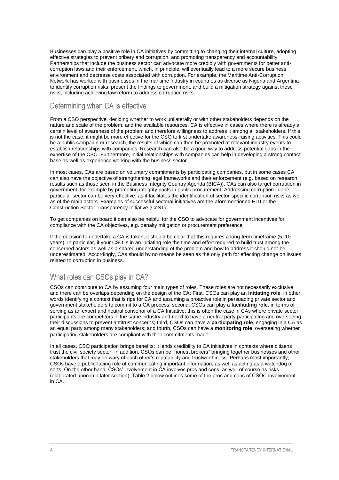Businesses can play a positive role in CA initiatives by committing to changing their internal culture, adopting effective strategies to prevent bribery and corruption, and promoting transparency and accountability. Partnerships that include the business sector can advocate more credibly with governments for better anticorruption laws and their enforcement, which, in principle, will eventually lead to a more secure business environment and decrease costs associated with corruption. For example, the Maritime Anti-Corruption Network has worked with businesses in the maritime industry in countries as diverse as Nigeria and Argentina to identify corruption risks, present the findings to government, and build a mitigation strategy against these risks, including achieving law reform to address corruption risks.

# Determining when CA is effective

From a CSO perspective, deciding whether to work unilaterally or with other stakeholders depends on the nature and scale of the problem, and the available resources. CA is effective in cases where there is already a certain level of awareness of the problem and therefore willingness to address it among all stakeholders. If this is not the case, it might be more effective for the CSO to first undertake awareness-raising activities. This could be a public campaign or research, the results of which can then be promoted at relevant industry events to establish relationships with companies. Research can also be a good way to address potential gaps in the expertise of the CSO. Furthermore, initial relationships with companies can help in developing a strong contact base as well as experience working with the business sector.

In most cases, CAs are based on voluntary commitments by participating companies, but in some cases CA can also have the objective of strengthening legal frameworks and their enforcement (e.g. based on research results such as those seen in the Business Integrity Country Agenda (BICA)). CAs can also target corruption in government, for example by promoting integrity pacts in public procurement. Addressing corruption in one particular sector can be very effective, as it facilitates the identification of sector-specific corruption risks as well as of the main actors. Examples of successful sectoral initiatives are the aforementioned EITI or the Construction Sector Transparency Initiative (CoST).

To get companies on board it can also be helpful for the CSO to advocate for government incentives for compliance with the CA objectives, e.g. penalty mitigation or procurement preference.

If the decision to undertake a CA is taken, it should be clear that this requires a long-term timeframe (5–10 years). In particular, if your CSO is in an initiating role the time and effort required to build trust among the concerned actors as well as a shared understanding of the problem and how to address it should not be underestimated. Accordingly, CAs should by no means be seen as the only path for effecting change on issues related to corruption in business.

# What roles can CSOs play in CA?

CSOs can contribute to CA by assuming four main types of roles. These roles are not necessarily exclusive and there can be overlaps depending on the design of the CA: First, CSOs can play an **initiating role**, in other words identifying a context that is ripe for CA and assuming a proactive role in persuading private sector and government stakeholders to commit to a CA process; second, CSOs can play a **facilitating role**, in terms of serving as an expert and neutral convenor of a CA Initiative; this is often the case in CAs where private sector participants are competitors in the same industry and need to have a neutral party participating and overseeing their discussions to prevent antitrust concerns; third, CSOs can have a **participating role**, engaging in a CA as an equal party among many stakeholders; and fourth, CSOs can have a **monitoring role**, overseeing whether participating stakeholders are compliant with their commitments made.

In all cases, CSO participation brings benefits: it lends credibility to CA initiatives in contexts where citizens trust the civil society sector. In addition, CSOs can be "honest brokers" bringing together businesses and other stakeholders that may be wary of each other's reputability and trustworthiness. Perhaps most importantly, CSOs have a public-facing role of communicating important information, as well as acting as a watchdog of sorts. On the other hand, CSOs' involvement in CA involves pros and cons, as well of course as risks (elaborated upon in a later section). Table 2 below outlines some of the pros and cons of CSOs' involvement in CA.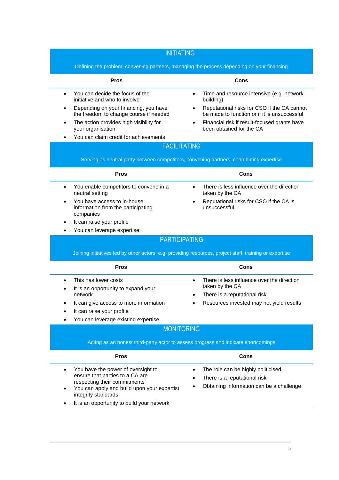#### INITIATING Defining the problem, convening partners, managing the process depending on your financing **Pros Cons** • You can decide the focus of the initiative and who to involve Depending on your financing, you have the freedom to change course if needed The action provides high visibility for your organisation You can claim credit for achievements • Time and resource intensive (e.g. network building) Reputational risks for CSO if the CA cannot be made to function or if it is unsuccessful Financial risk if result-focused grants have been obtained for the CA FACILITATING Serving as neutral party between competitors, convening partners, contributing expertise **Pros Cons** You enable competitors to convene in a neutral setting You have access to in-house information from the participating companies It can raise your profile You can leverage expertise There is less influence over the direction taken by the CA Reputational risks for CSO if the CA is unsuccessful PARTICIPATING Joining initiatives led by other actors, e.g. providing resources, project staff, training or expertise **Pros Cons** This has lower costs It is an opportunity to expand your network It can give access to more information It can raise your profile You can leverage existing expertise • There is less influence over the direction taken by the CA There is a reputational risk Resources invested may not yield results MONITORING Acting as an honest third-party actor to assess progress and indicate shortcomings **Pros Cons** You have the power of oversight to ensure that parties to a CA are respecting their commitments You can apply and build upon your expertise The role can be highly politicised There is a reputational risk Obtaining information can be a challenge

integrity standards

It is an opportunity to build your network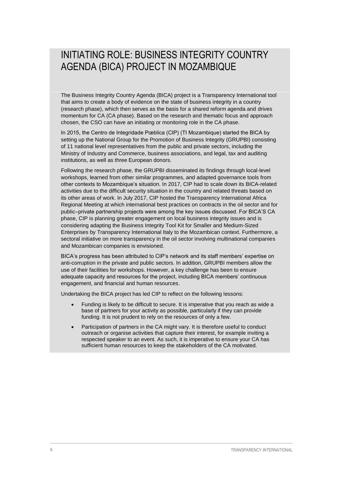# INITIATING ROLE: BUSINESS INTEGRITY COUNTRY AGENDA (BICA) PROJECT IN MOZAMBIQUE

The Business Integrity Country Agenda (BICA) project is a Transparency International tool that aims to create a body of evidence on the state of business integrity in a country (research phase), which then serves as the basis for a shared reform agenda and drives momentum for CA (CA phase). Based on the research and thematic focus and approach chosen, the CSO can have an initiating or monitoring role in the CA phase.

In 2015, the Centro de Integridade Pœblica (CIP) (TI Mozambique) started the BICA by setting up the National Group for the Promotion of Business Integrity (GRUPBI) consisting of 11 national level representatives from the public and private sectors, including the Ministry of Industry and Commerce, business associations, and legal, tax and auditing institutions, as well as three European donors.

Following the research phase, the GRUPBI disseminated its findings through local-level workshops, learned from other similar programmes, and adapted governance tools from other contexts to Mozambique's situation. In 2017, CIP had to scale down its BICA-related activities due to the difficult security situation in the country and related threats based on its other areas of work. In July 2017, CIP hosted the Transparency International Africa Regional Meeting at which international best practices on contracts in the oil sector and for public–private partnership projects were among the key issues discussed. For BICA'S CA phase, CIP is planning greater engagement on local business integrity issues and is considering adapting the Business Integrity Tool Kit for Smaller and Medium-Sized Enterprises by Transparency International Italy to the Mozambican context. Furthermore, a sectoral initiative on more transparency in the oil sector involving multinational companies and Mozambican companies is envisioned.

BICA's progress has been attributed to CIP's network and its staff members' expertise on anti-corruption in the private and public sectors. In addition, GRUPBI members allow the use of their facilities for workshops. However, a key challenge has been to ensure adequate capacity and resources for the project, including BICA members' continuous engagement, and financial and human resources.

Undertaking the BICA project has led CIP to reflect on the following lessons:

- Funding is likely to be difficult to secure. It is imperative that you reach as wide a base of partners for your activity as possible, particularly if they can provide funding. It is not prudent to rely on the resources of only a few.
- Participation of partners in the CA might vary. It is therefore useful to conduct outreach or organise activities that capture their interest, for example inviting a respected speaker to an event. As such, it is imperative to ensure your CA has sufficient human resources to keep the stakeholders of the CA motivated.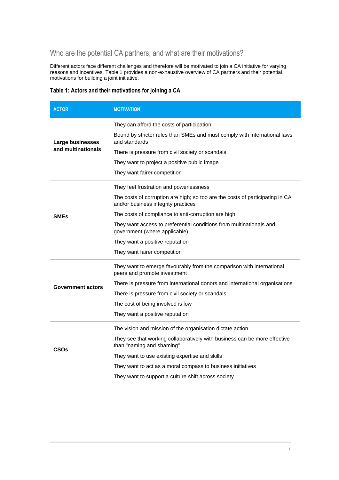# Who are the potential CA partners, and what are their motivations?

Different actors face different challenges and therefore will be motivated to join a CA initiative for varying reasons and incentives. Table 1 provides a non-exhaustive overview of CA partners and their potential motivations for building a joint initiative.

#### **Table 1: Actors and their motivations for joining a CA**

| <b>ACTOR</b>                           | <b>MOTIVATION</b>                                                                                                    |  |  |  |
|----------------------------------------|----------------------------------------------------------------------------------------------------------------------|--|--|--|
| Large businesses<br>and multinationals | They can afford the costs of participation                                                                           |  |  |  |
|                                        | Bound by stricter rules than SMEs and must comply with international laws<br>and standards                           |  |  |  |
|                                        | There is pressure from civil society or scandals                                                                     |  |  |  |
|                                        | They want to project a positive public image                                                                         |  |  |  |
|                                        | They want fairer competition                                                                                         |  |  |  |
| <b>SMEs</b>                            | They feel frustration and powerlessness                                                                              |  |  |  |
|                                        | The costs of corruption are high; so too are the costs of participating in CA<br>and/or business integrity practices |  |  |  |
|                                        | The costs of compliance to anti-corruption are high                                                                  |  |  |  |
|                                        | They want access to preferential conditions from multinationals and<br>government (where applicable)                 |  |  |  |
|                                        | They want a positive reputation                                                                                      |  |  |  |
|                                        | They want fairer competition                                                                                         |  |  |  |
| Government actors                      | They want to emerge favourably from the comparison with international<br>peers and promote investment                |  |  |  |
|                                        | There is pressure from international donors and international organisations                                          |  |  |  |
|                                        | There is pressure from civil society or scandals                                                                     |  |  |  |
|                                        | The cost of being involved is low                                                                                    |  |  |  |
|                                        | They want a positive reputation                                                                                      |  |  |  |
| CSOs                                   | The vision and mission of the organisation dictate action                                                            |  |  |  |
|                                        | They see that working collaboratively with business can be more effective<br>than "naming and shaming"               |  |  |  |
|                                        | They want to use existing expertise and skills                                                                       |  |  |  |
|                                        | They want to act as a moral compass to business initiatives                                                          |  |  |  |
|                                        | They want to support a culture shift across society                                                                  |  |  |  |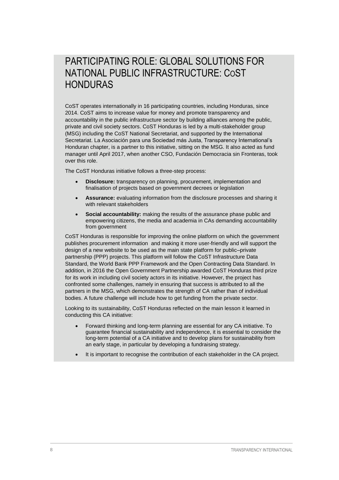# PARTICIPATING ROLE: GLOBAL SOLUTIONS FOR NATIONAL PUBLIC INFRASTRUCTURE: COST HONDURAS

CoST operates internationally in 16 participating countries, including Honduras, since 2014. CoST aims to increase value for money and promote transparency and accountability in the public infrastructure sector by building alliances among the public, private and civil society sectors. CoST Honduras is led by a multi-stakeholder group (MSG) including the CoST National Secretariat, and supported by the International Secretariat. La Asociación para una Sociedad más Justa, Transparency International's Honduran chapter, is a partner to this initiative, sitting on the MSG. It also acted as fund manager until April 2017, when another CSO, Fundación Democracia sin Fronteras, took over this role.

The CoST Honduras initiative follows a three-step process:

- **Disclosure:** transparency on planning, procurement, implementation and finalisation of projects based on government decrees or legislation
- **Assurance:** evaluating information from the disclosure processes and sharing it with relevant stakeholders
- **Social accountability:** making the results of the assurance phase public and empowering citizens, the media and academia in CAs demanding accountability from government

CoST Honduras is responsible for improving the online platform on which the government publishes procurement information and making it more user-friendly and will support the design of a new website to be used as the main state platform for public–private partnership (PPP) projects. This platform will follow the CoST Infrastructure Data Standard, the World Bank PPP Framework and the Open Contracting Data Standard. In addition, in 2016 the Open Government Partnership awarded CoST Honduras third prize for its work in including civil society actors in its initiative. However, the project has confronted some challenges, namely in ensuring that success is attributed to all the partners in the MSG, which demonstrates the strength of CA rather than of individual bodies. A future challenge will include how to get funding from the private sector.

Looking to its sustainability, CoST Honduras reflected on the main lesson it learned in conducting this CA initiative:

- Forward thinking and long-term planning are essential for any CA initiative. To guarantee financial sustainability and independence, it is essential to consider the long-term potential of a CA initiative and to develop plans for sustainability from an early stage, in particular by developing a fundraising strategy.
- It is important to recognise the contribution of each stakeholder in the CA project.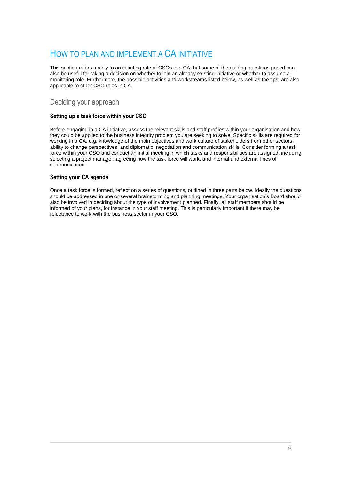# HOW TO PLAN AND IMPLEMENT A CA INITIATIVE

This section refers mainly to an initiating role of CSOs in a CA, but some of the guiding questions posed can also be useful for taking a decision on whether to join an already existing initiative or whether to assume a monitoring role. Furthermore, the possible activities and workstreams listed below, as well as the tips, are also applicable to other CSO roles in CA.

## Deciding your approach

#### **Setting up a task force within your CSO**

Before engaging in a CA initiative, assess the relevant skills and staff profiles within your organisation and how they could be applied to the business integrity problem you are seeking to solve. Specific skills are required for working in a CA, e.g. knowledge of the main objectives and work culture of stakeholders from other sectors, ability to change perspectives, and diplomatic, negotiation and communication skills. Consider forming a task force within your CSO and conduct an initial meeting in which tasks and responsibilities are assigned, including selecting a project manager, agreeing how the task force will work, and internal and external lines of communication.

#### **Setting your CA agenda**

Once a task force is formed, reflect on a series of questions, outlined in three parts below. Ideally the questions should be addressed in one or several brainstorming and planning meetings. Your organisation's Board should also be involved in deciding about the type of involvement planned. Finally, all staff members should be informed of your plans, for instance in your staff meeting. This is particularly important if there may be reluctance to work with the business sector in your CSO.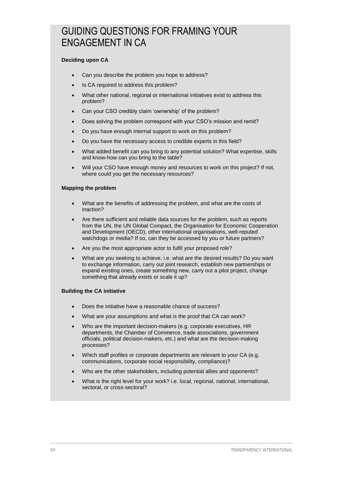# GUIDING QUESTIONS FOR FRAMING YOUR ENGAGEMENT IN CA

#### **Deciding upon CA**

- Can you describe the problem you hope to address?
- Is CA required to address this problem?
- What other national, regional or international initiatives exist to address this problem?
- Can your CSO credibly claim 'ownership' of the problem?
- Does solving the problem correspond with your CSO's mission and remit?
- Do you have enough internal support to work on this problem?
- Do you have the necessary access to credible experts in this field?
- What added benefit can you bring to any potential solution? What expertise, skills and know-how can you bring to the table?
- Will your CSO have enough money and resources to work on this project? If not, where could you get the necessary resources?

#### **Mapping the problem**

- What are the benefits of addressing the problem, and what are the costs of inaction?
- Are there sufficient and reliable data sources for the problem, such as reports from the UN, the UN Global Compact, the Organisation for Economic Cooperation and Development (OECD), other international organisations, well-reputed watchdogs or media? If so, can they be accessed by you or future partners?
- Are you the most appropriate actor to fulfil your proposed role?
- What are you seeking to achieve, i.e. what are the desired results? Do you want to exchange information, carry out joint research, establish new partnerships or expand existing ones, create something new, carry out a pilot project, change something that already exists or scale it up?

#### **Building the CA initiative**

- Does the initiative have a reasonable chance of success?
- What are your assumptions and what is the proof that CA can work?
- Who are the important decision-makers (e.g. corporate executives, HR departments, the Chamber of Commerce, trade associations, government officials, political decision-makers, etc.) and what are the decision-making processes?
- Which staff profiles or corporate departments are relevant to your CA (e.g. communications, corporate social responsibility, compliance)?
- Who are the other stakeholders, including potential allies and opponents?
- What is the right level for your work? i.e. local, regional, national, international, sectoral, or cross-sectoral?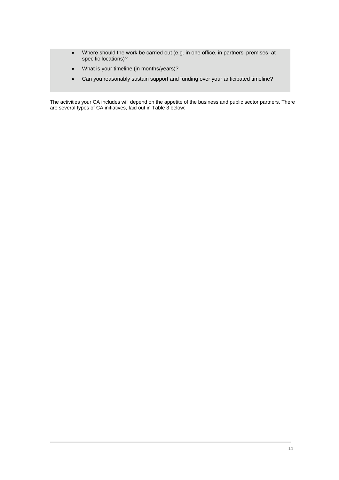- Where should the work be carried out (e.g. in one office, in partners' premises, at specific locations)?
- What is your timeline (in months/years)?
- Can you reasonably sustain support and funding over your anticipated timeline?

The activities your CA includes will depend on the appetite of the business and public sector partners. There are several types of CA initiatives, laid out in Table 3 below: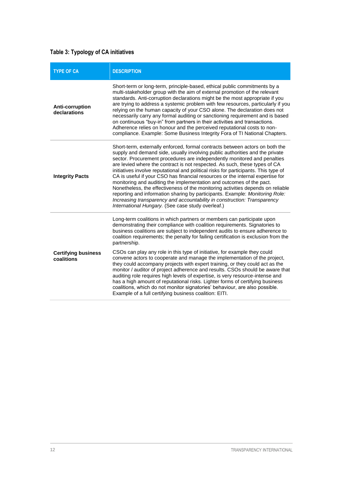# **Table 3: Typology of CA initiatives**

| <b>TYPE OF CA</b>                        | <b>DESCRIPTION</b>                                                                                                                                                                                                                                                                                                                                                                                                                                                                                                                                                                                                                                                                                                                                                                                                                                                          |  |  |
|------------------------------------------|-----------------------------------------------------------------------------------------------------------------------------------------------------------------------------------------------------------------------------------------------------------------------------------------------------------------------------------------------------------------------------------------------------------------------------------------------------------------------------------------------------------------------------------------------------------------------------------------------------------------------------------------------------------------------------------------------------------------------------------------------------------------------------------------------------------------------------------------------------------------------------|--|--|
| Anti-corruption<br>declarations          | Short-term or long-term, principle-based, ethical public commitments by a<br>multi-stakeholder group with the aim of external promotion of the relevant<br>standards. Anti-corruption declarations might be the most appropriate if you<br>are trying to address a systemic problem with few resources, particularly if you<br>relying on the human capacity of your CSO alone. The declaration does not<br>necessarily carry any formal auditing or sanctioning requirement and is based<br>on continuous "buy-in" from partners in their activities and transactions.<br>Adherence relies on honour and the perceived reputational costs to non-<br>compliance. Example: Some Business Integrity Fora of TI National Chapters.                                                                                                                                            |  |  |
| <b>Integrity Pacts</b>                   | Short-term, externally enforced, formal contracts between actors on both the<br>supply and demand side, usually involving public authorities and the private<br>sector. Procurement procedures are independently monitored and penalties<br>are levied where the contract is not respected. As such, these types of CA<br>initiatives involve reputational and political risks for participants. This type of<br>CA is useful if your CSO has financial resources or the internal expertise for<br>monitoring and auditing the implementation and outcomes of the pact.<br>Nonetheless, the effectiveness of the monitoring activities depends on reliable<br>reporting and information sharing by participants. Example: Monitoring Role:<br>Increasing transparency and accountability in construction: Transparency<br>International Hungary. (See case study overleaf.) |  |  |
| <b>Certifying business</b><br>coalitions | Long-term coalitions in which partners or members can participate upon<br>demonstrating their compliance with coalition requirements. Signatories to<br>business coalitions are subject to independent audits to ensure adherence to<br>coalition requirements; the penalty for failing certification is exclusion from the<br>partnership.                                                                                                                                                                                                                                                                                                                                                                                                                                                                                                                                 |  |  |
|                                          | CSOs can play any role in this type of initiative, for example they could<br>convene actors to cooperate and manage the implementation of the project,<br>they could accompany projects with expert training, or they could act as the<br>monitor / auditor of project adherence and results. CSOs should be aware that<br>auditing role requires high levels of expertise, is very resource-intense and<br>has a high amount of reputational risks. Lighter forms of certifying business<br>coalitions, which do not monitor signatories' behaviour, are also possible.<br>Example of a full certifying business coalition: EITI.                                                                                                                                                                                                                                          |  |  |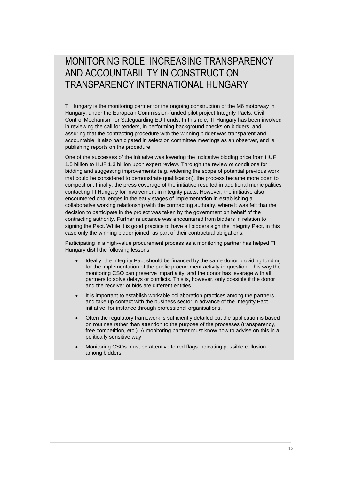MONITORING ROLE: INCREASING TRANSPARENCY AND ACCOUNTABILITY IN CONSTRUCTION: TRANSPARENCY INTERNATIONAL HUNGARY

TI Hungary is the monitoring partner for the ongoing construction of the M6 motorway in Hungary, under the European Commission-funded pilot project [Integrity Pacts: Civil](https://www.transparency.org/programmes/detail/integritypacts)  [Control Mechanism for Safeguarding EU Funds.](https://www.transparency.org/programmes/detail/integritypacts) In this role, TI Hungary has been involved in reviewing the call for tenders, in performing background checks on bidders, and assuring that the contracting procedure with the winning bidder was transparent and accountable. It also participated in selection committee meetings as an observer, and is publishing reports on the procedure.

One of the successes of the initiative was lowering the indicative bidding price from HUF 1.5 billion to HUF 1.3 billion upon expert review. Through the review of conditions for bidding and suggesting improvements (e.g. widening the scope of potential previous work that could be considered to demonstrate qualification), the process became more open to competition. Finally, the press coverage of the initiative resulted in additional municipalities contacting TI Hungary for involvement in integrity pacts. However, the initiative also encountered challenges in the early stages of implementation in establishing a collaborative working relationship with the contracting authority, where it was felt that the decision to participate in the project was taken by the government on behalf of the contracting authority. Further reluctance was encountered from bidders in relation to signing the Pact. While it is good practice to have all bidders sign the Integrity Pact, in this case only the winning bidder joined, as part of their contractual obligations.

Participating in a high-value procurement process as a monitoring partner has helped TI Hungary distil the following lessons:

- Ideally, the Integrity Pact should be financed by the same donor providing funding for the implementation of the public procurement activity in question. This way the monitoring CSO can preserve impartiality, and the donor has leverage with all partners to solve delays or conflicts. This is, however, only possible if the donor and the receiver of bids are different entities.
- It is important to establish workable collaboration practices among the partners and take up contact with the business sector in advance of the Integrity Pact initiative, for instance through professional organisations.
- Often the regulatory framework is sufficiently detailed but the application is based on routines rather than attention to the purpose of the processes (transparency, free competition, etc.). A monitoring partner must know how to advise on this in a politically sensitive way.
- Monitoring CSOs must be attentive to red flags indicating possible collusion among bidders.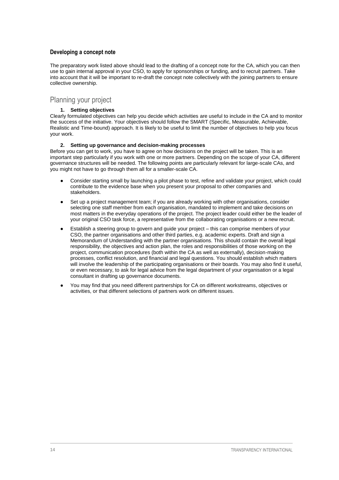#### **Developing a concept note**

The preparatory work listed above should lead to the drafting of a concept note for the CA, which you can then use to gain internal approval in your CSO, to apply for sponsorships or funding, and to recruit partners. Take into account that it will be important to re-draft the concept note collectively with the joining partners to ensure collective ownership.

#### Planning your project

#### **1. Setting objectives**

Clearly formulated objectives can help you decide which activities are useful to include in the CA and to monitor the success of the initiative. Your objectives should follow the SMART (Specific, Measurable, Achievable, Realistic and Time-bound) approach. It is likely to be useful to limit the number of objectives to help you focus your work.

#### **2. Setting up governance and decision-making processes**

Before you can get to work, you have to agree on how decisions on the project will be taken. This is an important step particularly if you work with one or more partners. Depending on the scope of your CA, different governance structures will be needed. The following points are particularly relevant for large-scale CAs, and you might not have to go through them all for a smaller-scale CA.

- Consider starting small by launching a pilot phase to test, refine and validate your project, which could contribute to the evidence base when you present your proposal to other companies and stakeholders.
- Set up a project management team; if you are already working with other organisations, consider selecting one staff member from each organisation, mandated to implement and take decisions on most matters in the everyday operations of the project. The project leader could either be the leader of your original CSO task force, a representative from the collaborating organisations or a new recruit.
- Establish a steering group to govern and guide your project this can comprise members of your CSO, the partner organisations and other third parties, e.g. academic experts. Draft and sign a Memorandum of Understanding with the partner organisations. This should contain the overall legal responsibility, the objectives and action plan, the roles and responsibilities of those working on the project, communication procedures (both within the CA as well as externally), decision-making processes, conflict resolution, and financial and legal questions. You should establish which matters will involve the leadership of the participating organisations or their boards. You may also find it useful, or even necessary, to ask for legal advice from the legal department of your organisation or a legal consultant in drafting up governance documents.
- You may find that you need different partnerships for CA on different workstreams, objectives or activities, or that different selections of partners work on different issues.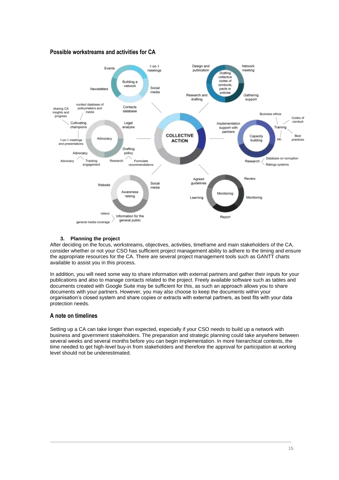#### **Possible workstreams and activities for CA**



#### **3. Planning the project**

After deciding on the focus, workstreams, objectives, activities, timeframe and main stakeholders of the CA, consider whether or not your CSO has sufficient project management ability to adhere to the timing and ensure the appropriate resources for the CA. There are several project management tools such as GANTT charts available to assist you in this process.

In addition, you will need some way to share information with external partners and gather their inputs for your publications and also to manage contacts related to the project. Freely available software such as tables and documents created with Google Suite may be sufficient for this, as such an approach allows you to share documents with your partners. However, you may also choose to keep the documents within your organisation's closed system and share copies or extracts with external partners, as best fits with your data protection needs.

#### **A note on timelines**

Setting up a CA can take longer than expected, especially if your CSO needs to build up a network with business and government stakeholders. The preparation and strategic planning could take anywhere between several weeks and several months before you can begin implementation. In more hierarchical contexts, the time needed to get high-level buy-in from stakeholders and therefore the approval for participation at working level should not be underestimated.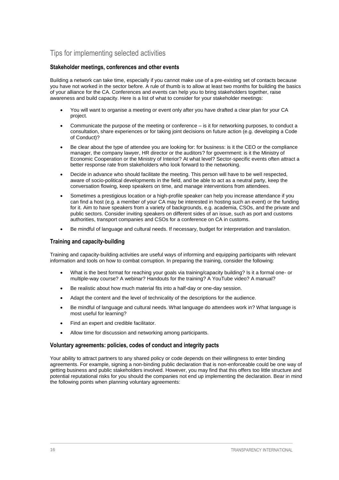# Tips for implementing selected activities

#### **Stakeholder meetings, conferences and other events**

Building a network can take time, especially if you cannot make use of a pre-existing set of contacts because you have not worked in the sector before. A rule of thumb is to allow at least two months for building the basics of your alliance for the CA. Conferences and events can help you to bring stakeholders together, raise awareness and build capacity. Here is a list of what to consider for your stakeholder meetings:

- You will want to organise a meeting or event only after you have drafted a clear plan for your CA project.
- Communicate the purpose of the meeting or conference is it for networking purposes, to conduct a consultation, share experiences or for taking joint decisions on future action (e.g. developing a Code of Conduct)?
- Be clear about the type of attendee you are looking for: for business: is it the CEO or the compliance manager, the company lawyer, HR director or the auditors? for government: is it the Ministry of Economic Cooperation or the Ministry of Interior? At what level? Sector-specific events often attract a better response rate from stakeholders who look forward to the networking.
- Decide in advance who should facilitate the meeting. This person will have to be well respected, aware of socio-political developments in the field, and be able to act as a neutral party, keep the conversation flowing, keep speakers on time, and manage interventions from attendees.
- Sometimes a prestigious location or a high-profile speaker can help you increase attendance if you can find a host (e.g. a member of your CA may be interested in hosting such an event) or the funding for it. Aim to have speakers from a variety of backgrounds, e.g. academia, CSOs, and the private and public sectors. Consider inviting speakers on different sides of an issue, such as port and customs authorities, transport companies and CSOs for a conference on CA in customs.
- Be mindful of language and cultural needs. If necessary, budget for interpretation and translation.

#### **Training and capacity-building**

Training and capacity-building activities are useful ways of informing and equipping participants with relevant information and tools on how to combat corruption. In preparing the training, consider the following:

- What is the best format for reaching your goals via training/capacity building? Is it a formal one- or multiple-way course? A webinar? Handouts for the training? A YouTube video? A manual?
- Be realistic about how much material fits into a half-day or one-day session.
- Adapt the content and the level of technicality of the descriptions for the audience.
- Be mindful of language and cultural needs. What language do attendees work in? What language is most useful for learning?
- Find an expert and credible facilitator.
- Allow time for discussion and networking among participants.

#### **Voluntary agreements: policies, codes of conduct and integrity pacts**

Your ability to attract partners to any shared policy or code depends on their willingness to enter binding agreements. For example, signing a non-binding public declaration that is non-enforceable could be one way of getting business and public stakeholders involved. However, you may find that this offers too little structure and potential reputational risks for you should the companies not end up implementing the declaration. Bear in mind the following points when planning voluntary agreements: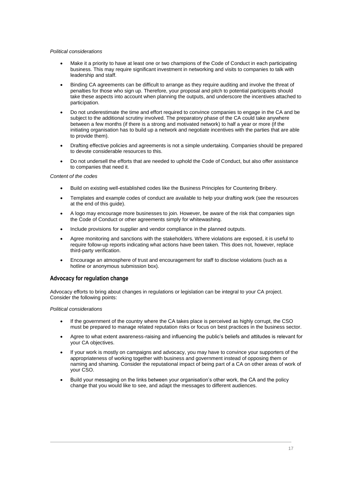#### *Political considerations*

- Make it a priority to have at least one or two champions of the Code of Conduct in each participating business. This may require significant investment in networking and visits to companies to talk with leadership and staff.
- Binding CA agreements can be difficult to arrange as they require auditing and involve the threat of penalties for those who sign up. Therefore, your proposal and pitch to potential participants should take these aspects into account when planning the outputs, and underscore the incentives attached to participation.
- Do not underestimate the time and effort required to convince companies to engage in the CA and be subject to the additional scrutiny involved. The preparatory phase of the CA could take anywhere between a few months (if there is a strong and motivated network) to half a year or more (if the initiating organisation has to build up a network and negotiate incentives with the parties that are able to provide them).
- Drafting effective policies and agreements is not a simple undertaking. Companies should be prepared to devote considerable resources to this.
- Do not undersell the efforts that are needed to uphold the Code of Conduct, but also offer assistance to companies that need it.

#### *Content of the codes*

- Build on existing well-established codes like the Business Principles for Countering Bribery.
- Templates and example codes of conduct are available to help your drafting work (see the resources at the end of this guide).
- A logo may encourage more businesses to join. However, be aware of the risk that companies sign the Code of Conduct or other agreements simply for whitewashing.
- Include provisions for supplier and vendor compliance in the planned outputs.
- Agree monitoring and sanctions with the stakeholders. Where violations are exposed, it is useful to require follow-up reports indicating what actions have been taken. This does not, however, replace third-party verification.
- Encourage an atmosphere of trust and encouragement for staff to disclose violations (such as a hotline or anonymous submission box).

#### **Advocacy for regulation change**

Advocacy efforts to bring about changes in regulations or legislation can be integral to your CA project. Consider the following points:

#### *Political considerations*

- If the government of the country where the CA takes place is perceived as highly corrupt, the CSO must be prepared to manage related reputation risks or focus on best practices in the business sector.
- Agree to what extent awareness-raising and influencing the public's beliefs and attitudes is relevant for your CA objectives.
- If your work is mostly on campaigns and advocacy, you may have to convince your supporters of the appropriateness of working together with business and government instead of opposing them or naming and shaming. Consider the reputational impact of being part of a CA on other areas of work of your CSO.
- Build your messaging on the links between your organisation's other work, the CA and the policy change that you would like to see, and adapt the messages to different audiences.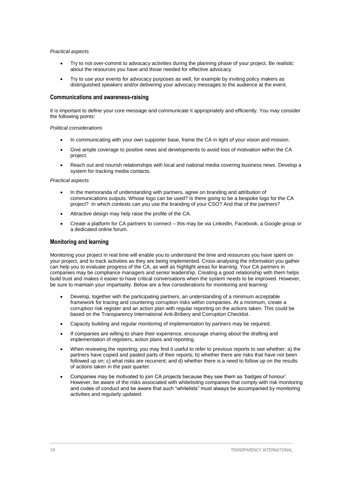#### *Practical aspects*

- Try to not over-commit to advocacy activities during the planning phase of your project. Be realistic about the resources you have and those needed for effective advocacy.
- Try to use your events for advocacy purposes as well, for example by inviting policy makers as distinguished speakers and/or delivering your advocacy messages to the audience at the event.

#### **Communications and awareness-raising**

It is important to define your core message and communicate it appropriately and efficiently. You may consider the following points:

#### *Political considerations*

- In communicating with your own supporter base, frame the CA in light of your vision and mission.
- Give ample coverage to positive news and developments to avoid loss of motivation within the CA project.
- Reach out and nourish relationships with local and national media covering business news. Develop a system for tracking media contacts.

#### *Practical aspects*

- In the memoranda of understanding with partners, agree on branding and attribution of communications outputs. Whose logo can be used? Is there going to be a bespoke logo for the CA project? In which contexts can you use the branding of your CSO? And that of the partners?
- Attractive design may help raise the profile of the CA.
- Create a platform for CA partners to connect this may be via LinkedIn, Facebook, a Google group or a dedicated online forum.

#### **Monitoring and learning**

Monitoring your project in real time will enable you to understand the time and resources you have spent on your project, and to track activities as they are being implemented. Cross-analysing the information you gather can help you to evaluate progress of the CA, as well as highlight areas for learning. Your CA partners in companies may be compliance managers and senior leadership. Creating a good relationship with them helps build trust and makes it easier to have critical conversations when the system needs to be improved. However, be sure to maintain your impartiality. Below are a few considerations for monitoring and learning:

- Develop, together with the participating partners, an understanding of a minimum acceptable framework for tracing and countering corruption risks within companies. At a minimum, create a corruption risk register and an action plan with regular reporting on the actions taken. This could be based on the Transparency International Anti-Bribery and Corruption Checklist.
- Capacity building and regular monitoring of implementation by partners may be required.
- If companies are willing to share their experience, encourage sharing about the drafting and implementation of registers, action plans and reporting.
- When reviewing the reporting, you may find it useful to refer to previous reports to see whether: a) the partners have copied and pasted parts of their reports; b) whether there are risks that have not been followed up on; c) what risks are recurrent; and d) whether there is a need to follow up on the results of actions taken in the past quarter.
- Companies may be motivated to join CA projects because they see them as 'badges of honour'. However, be aware of the risks associated with whitelisting companies that comply with risk monitoring and codes of conduct and be aware that such "whitelists" must always be accompanied by monitoring activities and regularly updated.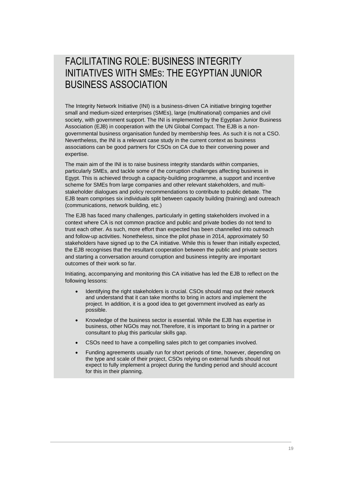# FACILITATING ROLE: BUSINESS INTEGRITY INITIATIVES WITH SMES: THE EGYPTIAN JUNIOR BUSINESS ASSOCIATION

The Integrity Network Initiative (INI) is a business-driven CA initiative bringing together small and medium-sized enterprises (SMEs), large (multinational) companies and civil society, with government support. The INI is implemented by the Egyptian Junior Business Association (EJB) in cooperation with the UN Global Compact. The EJB is a nongovernmental business organisation funded by membership fees. As such it is not a CSO. Nevertheless, the INI is a relevant case study in the current context as business associations can be good partners for CSOs on CA due to their convening power and expertise.

The main aim of the INI is to raise business integrity standards within companies, particularly SMEs, and tackle some of the corruption challenges affecting business in Egypt. This is achieved through a capacity-building programme, a support and incentive scheme for SMEs from large companies and other relevant stakeholders, and multistakeholder dialogues and policy recommendations to contribute to public debate. The EJB team comprises six individuals split between capacity building (training) and outreach (communications, network building, etc.)

The EJB has faced many challenges, particularly in getting stakeholders involved in a context where CA is not common practice and public and private bodies do not tend to trust each other. As such, more effort than expected has been channelled into outreach and follow-up activities. Nonetheless, since the pilot phase in 2014, approximately 50 stakeholders have signed up to the CA initiative. While this is fewer than initially expected, the EJB recognises that the resultant cooperation between the public and private sectors and starting a conversation around corruption and business integrity are important outcomes of their work so far.

Initiating, accompanying and monitoring this CA initiative has led the EJB to reflect on the following lessons:

- Identifying the right stakeholders is crucial. CSOs should map out their network and understand that it can take months to bring in actors and implement the project. In addition, it is a good idea to get government involved as early as possible.
- Knowledge of the business sector is essential. While the EJB has expertise in business, other NGOs may not.Therefore, it is important to bring in a partner or consultant to plug this particular skills gap.
- CSOs need to have a compelling sales pitch to get companies involved.
- Funding agreements usually run for short periods of time, however, depending on the type and scale of their project, CSOs relying on external funds should not expect to fully implement a project during the funding period and should account for this in their planning.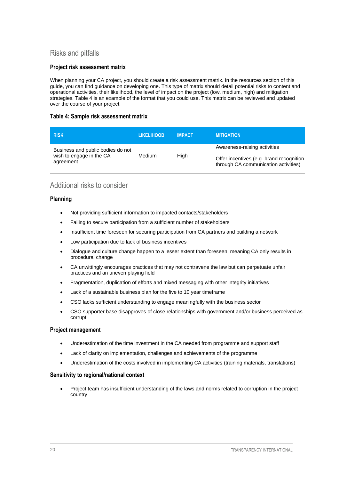# Risks and pitfalls

#### **Project risk assessment matrix**

When planning your CA project, you should create a risk assessment matrix. In the resources section of this guide, you can find guidance on developing one. This type of matrix should detail potential risks to content and operational activities, their likelihood, the level of impact on the project (low, medium, high) and mitigation strategies. Table 4 is an example of the format that you could use. This matrix can be reviewed and updated over the course of your project.

#### **Table 4: Sample risk assessment matrix**

| <b>RISK</b>                           | <b>LIKELIHOOD</b> | <b>IMPACT</b> | <b>MITIGATION</b>                                                                |
|---------------------------------------|-------------------|---------------|----------------------------------------------------------------------------------|
| Business and public bodies do not     |                   | High          | Awareness-raising activities                                                     |
| wish to engage in the CA<br>agreement | Medium            |               | Offer incentives (e.g. brand recognition<br>through CA communication activities) |

# Additional risks to consider

#### **Planning**

- Not providing sufficient information to impacted contacts/stakeholders
- Failing to secure participation from a sufficient number of stakeholders
- Insufficient time foreseen for securing participation from CA partners and building a network
- Low participation due to lack of business incentives
- Dialogue and culture change happen to a lesser extent than foreseen, meaning CA only results in procedural change
- CA unwittingly encourages practices that may not contravene the law but can perpetuate unfair practices and an uneven playing field
- Fragmentation, duplication of efforts and mixed messaging with other integrity initiatives
- Lack of a sustainable business plan for the five to 10 year timeframe
- CSO lacks sufficient understanding to engage meaningfully with the business sector
- CSO supporter base disapproves of close relationships with government and/or business perceived as corrupt

#### **Project management**

- Underestimation of the time investment in the CA needed from programme and support staff
- Lack of clarity on implementation, challenges and achievements of the programme
- Underestimation of the costs involved in implementing CA activities (training materials, translations)

#### **Sensitivity to regional/national context**

 Project team has insufficient understanding of the laws and norms related to corruption in the project country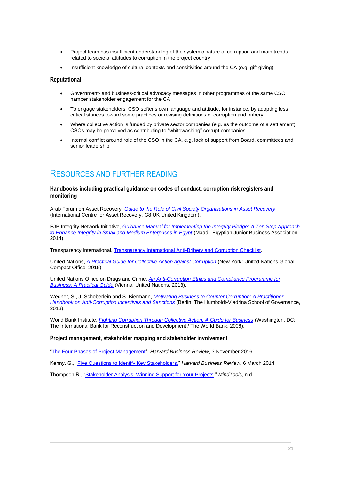- Project team has insufficient understanding of the systemic nature of corruption and main trends related to societal attitudes to corruption in the project country
- Insufficient knowledge of cultural contexts and sensitivities around the CA (e.g. gift giving)

#### **Reputational**

- Government- and business-critical advocacy messages in other programmes of the same CSO hamper stakeholder engagement for the CA
- To engage stakeholders, CSO softens own language and attitude, for instance, by adopting less critical stances toward some practices or revising definitions of corruption and bribery
- Where collective action is funded by private sector companies (e.g. as the outcome of a settlement), CSOs may be perceived as contributing to "whitewashing" corrupt companies
- Internal conflict around role of the CSO in the CA, e.g. lack of support from Board, committees and senior leadership

# RESOURCES AND FURTHER READING

#### **Handbooks including practical guidance on codes of conduct, corruption risk registers and monitoring**

Arab Forum on Asset Recovery, *[Guide to the Role of Civil Society Organisations in Asset Recovery](https://cso.assetrecovery.org/sites/collective.localhost/files/documents/cso_guide_e.pdf)* (International Centre for Asset Recovery, G8 UK United Kingdom).

EJB Integrity Network Initiative, *[Guidance Manual for Implementing the Integrity Pledge:](http://www.ejb-act.com/en/blog/28-publications/119-guidance-manual.html) A Ten Step Approach [to Enhance Integrity in Small and Medium Enterprises in Egypt](http://www.ejb-act.com/en/blog/28-publications/119-guidance-manual.html)* (Maadi: Egyptian Junior Business Association, 2014).

Transparency International, [Transparency International Anti-Bribery and Corruption Checklist.](https://www.transparency.org/files/content/tool/2014_TI_AntiBriberyChecklist_EN.pdf)

United Nations, *[A Practical Guide for Collective Action against Corruption](https://www.unglobalcompact.org/library/1781)* (New York: United Nations Global Compact Office, 2015).

United Nations Office on Drugs and Crime, *[An Anti-Corruption Ethics and Compliance Programme for](https://www.unodc.org/documents/corruption/Publications/2013/13-84498_Ebook.pdf)  [Business: A Practical Guide](https://www.unodc.org/documents/corruption/Publications/2013/13-84498_Ebook.pdf)* (Vienna: United Nations, 2013).

Wegner, S., J. Schöberlein and S. Biermann, *[Motivating Business to Counter Corruption: A Practitioner](http://www.governance-platform.org/wp-content/uploads/2016/11/HVSG_ACIS_PractitionerHandbook_20131121.pdf)  [Handbook on Anti-Corruption Incentives and Sanctions](http://www.governance-platform.org/wp-content/uploads/2016/11/HVSG_ACIS_PractitionerHandbook_20131121.pdf)* (Berlin: The Humboldt-Viadrina School of Governance, 2013).

World Bank Institute, *[Fighting Corruption Through Collective Action: A Guide for Business](https://www.globalcompact.de/wAssets/docs/Korruptionspraevention/Publikationen/fighting_corruption_through_collective_action.pdf)* (Washington, DC: The International Bank for Reconstruction and Development / The World Bank, 2008).

#### **Project management, stakeholder mapping and stakeholder involvement**

["The Four Phases of Project Management"](https://hbr.org/2016/11/the-four-phases-of-project-management), *Harvard Business Review*, 3 November 2016.

Kenny, G., ["Five Questions to Identify Key Stakeholders."](https://hbr.org/2014/03/five-questions-to-identify-key-stakeholders) *Harvard Business Review*, 6 March 2014.

Thompson R., ["Stakeholder Analysis: Winning Support for Your Projects.](https://www.mindtools.com/pages/article/newPPM_07.htm)" *MindTools*, n.d.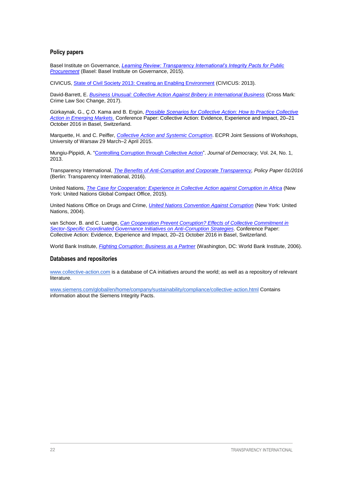#### **Policy papers**

Basel Institute on Governance, *[Learning Review: Transparency International's Integrity Pacts for Public](https://www.transparency.org/files/content/ouraccountability/2015_IntegrityPacts_LearningReview_EN.pdf)  [Procurement](https://www.transparency.org/files/content/ouraccountability/2015_IntegrityPacts_LearningReview_EN.pdf)* (Basel: Basel Institute on Governance, 2015).

CIVICUS, [State of Civil Society 2013: Creating an Enabling Environment](http://socs.civicus.org/wp-content/uploads/2013/04/2013StateofCivilSocietyReport_full.pdf) (CIVICUS: 2013).

David-Barrett, E. *[Business Unusual: Collective Action Against Bribery in International Business](http://sro.sussex.ac.uk/70211/5/Business%20Unusual.pdf)* (Cross Mark: Crime Law Soc Change, 2017).

Gürkaynak, G., Ç.O. Kama and B. Ergün, *[Possible Scenarios for Collective Action: How to Practice Collective](https://collective-action.com/sites/collective.localhost/files/icca-may16-renov/collective-action-conference-2016-elig_submission.pdf)  [Action in Emerging Markets](https://collective-action.com/sites/collective.localhost/files/icca-may16-renov/collective-action-conference-2016-elig_submission.pdf)*. Conference Paper: Collective Action: Evidence, Experience and Impact, 20–21 October 2016 in Basel, Switzerland.

Marquette, H. and C. Peiffer, *[Collective Action and Systemic Corruption](https://ecpr.eu/Filestore/PaperProposal/b5944a31-85b6-4547-82b3-0d4a74910b07.pdf)*. ECPR Joint Sessions of Workshops, University of Warsaw 29 March–2 April 2015.

Mungiu-Pippidi, A. ["Controlling Corruption through Collective Action"](https://www.journalofdemocracy.org/article/controlling-corruption-through-collective-action). *Journal of Democracy,* Vol. 24, No. 1, 2013.

Transparency International, *[The Benefits of Anti-Corruption](https://www.transparency.org/whatwedo/publication/working_paper_1_2016_the_benefits_of_anti_corruption_and_corporate_transpar) and Corporate Transparency, Policy Paper 01/2016* (Berlin: Transparency International, 2016).

United Nations, *[The Case for Cooperation: Experience in Collective Action against Corruption in Africa](https://www.collective-action.com/publications/1049)* (New York: United Nations Global Compact Office, 2015).

United Nations Office on Drugs and Crime, *[United Nations Convention Against Corruption](file:///C:/Users/susan/Downloads/www.unodc.org/documents/brussels/UN_Convention_Against_Corruption.pdf)* (New York: United Nations, 2004).

van Schoor, B. and C. Luetge, *[Can Cooperation Prevent Corruption? Effects of Collective Commitment in](https://collective-action.com/sites/collective.localhost/files/conference/icca-2016/collective-action-conference-van_schoor-luetge_0.pdf)  [Sector-Specific Coordinated Governance Initiatives on Anti-Corruption Strategies](https://collective-action.com/sites/collective.localhost/files/conference/icca-2016/collective-action-conference-van_schoor-luetge_0.pdf)*. Conference Paper: Collective Action: Evidence, Experience and Impact, 20–21 October 2016 in Basel, Switzerland.

World Bank Institute, *[Fighting Corruption: Business as a Partner](http://documents.worldbank.org/curated/en/573111468314083144/Development-outreach-8-2-fighting-corruption-business-as-a-partner)* (Washington, DC: World Bank Institute, 2006).

#### **Databases and repositories**

[www.collective-action.com](http://www.collective-action.com/) is a database of CA initiatives around the world; as well as a repository of relevant literature.

[www.siemens.com/global/en/home/company/sustainability/compliance/collective-action.html](https://www.siemens.com/global/en/home/company/sustainability/compliance/collective-action.html) Contains information about the Siemens Integrity Pacts.